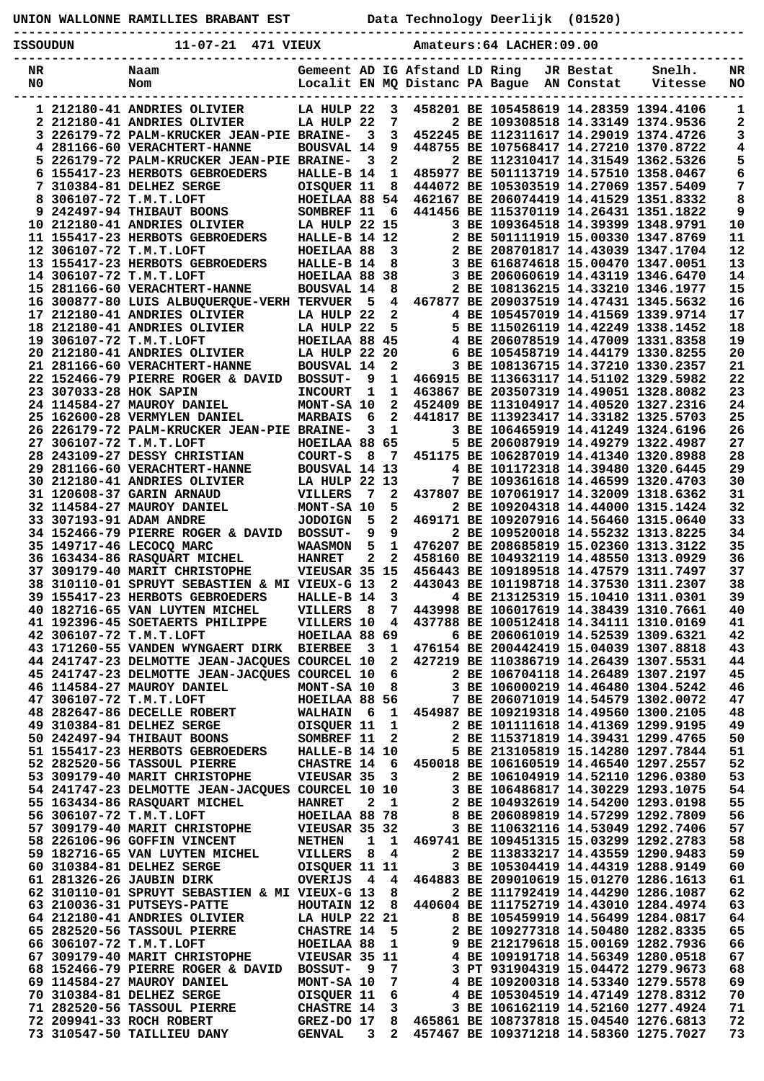| ISSOUDUN  |                        | 11-07-21 471 VIEUX                                                                                                                                                                                                                             |                                                 |                         |                |                    | Amateurs: 64 LACHER: 09.00                                                                                      |                                                                                                                                                                                                                        |                    |
|-----------|------------------------|------------------------------------------------------------------------------------------------------------------------------------------------------------------------------------------------------------------------------------------------|-------------------------------------------------|-------------------------|----------------|--------------------|-----------------------------------------------------------------------------------------------------------------|------------------------------------------------------------------------------------------------------------------------------------------------------------------------------------------------------------------------|--------------------|
| NR.<br>N0 |                        | Gemeent AD IG Afstand LD Ring<br>Naam<br>Localit EN MQ Distanc PA Bague AN Constat<br>Nom                                                                                                                                                      |                                                 |                         |                |                    |                                                                                                                 | JR Bestat Snelh.<br>Vitesse                                                                                                                                                                                            | $N_{\rm R}$<br>NO. |
|           |                        | 1 212180-41 ANDRIES OLIVIER LA HULP 22                                                                                                                                                                                                         |                                                 |                         |                |                    | 3 458201 BE 105458619 14.28359 1394.4106                                                                        |                                                                                                                                                                                                                        | 1                  |
|           |                        | 2 212180-41 ANDRIES OLIVIER                                                                                                                                                                                                                    | LA HULP 22                                      |                         |                | 7                  | 2 BE 109308518 14.33149 1374.9536                                                                               |                                                                                                                                                                                                                        | 2                  |
|           |                        | 3 226179-72 PALM-KRUCKER JEAN-PIE BRAINE-<br>4 281166-60 VERACHTERT-HANNE                                                                                                                                                                      | <b>BOUSVAL 14</b>                               | 3                       | 9              |                    | 3 452245 BE 112311617 14.29019 1374.4726<br>448755 BE 107568417 14.27210 1370.8722                              |                                                                                                                                                                                                                        | 3                  |
|           |                        | 5 226179-72 PALM-KRUCKER JEAN-PIE BRAINE-                                                                                                                                                                                                      |                                                 | $\overline{\mathbf{3}}$ |                | $2 \left  \right $ | 2 BE 112310417 14.31549 1362.5326                                                                               |                                                                                                                                                                                                                        | 4<br>5             |
|           |                        | 6 155417-23 HERBOTS GEBROEDERS                                                                                                                                                                                                                 | HALLE-B 14                                      |                         |                |                    | 1 485977 BE 501113719 14.57510 1358.0467                                                                        |                                                                                                                                                                                                                        | 6                  |
|           |                        |                                                                                                                                                                                                                                                |                                                 |                         |                |                    |                                                                                                                 |                                                                                                                                                                                                                        | 7                  |
|           |                        | 6 155417-23 ARABOLI SERGE<br>7 310384-81 DELHEZ SERGE<br>8 306107-72 T.M.T.LOFT<br>9 242497-94 THIBAUT BOONS<br>8 242497-94 THIBAUT BOONS<br>8 242497-94 THIBAUT BOONS<br>8 242497-94 THIBAUT BOONS<br>212180-41 ANDRIES OLIVIER<br>1.A HULP 2 |                                                 |                         |                |                    |                                                                                                                 |                                                                                                                                                                                                                        | 8<br>9             |
|           |                        | 10 212180-41 ANDRIES OLIVIER                                                                                                                                                                                                                   |                                                 |                         |                |                    |                                                                                                                 |                                                                                                                                                                                                                        | 10                 |
|           |                        | 11 155417-23 HERBOTS GEBROEDERS                                                                                                                                                                                                                |                                                 |                         |                |                    |                                                                                                                 | HALLE-B 14 12<br>HALLE-B 14 8 3 BE 501111919 15.00330 1347.8769<br>HOEILAA 88 3 2 BE 208701817 14.43039 1347.1704<br>HALLE-B 14 8 3 BE 616874618 15.00470 1347.0051<br>HOEILAA 88 38 3 BE 206060619 14.43119 1346.6470 | 11                 |
|           |                        | 12 306107-72 T.M.T.LOFT<br>13 155417-23 HERBOTS GEBROEDERS                                                                                                                                                                                     |                                                 |                         |                |                    |                                                                                                                 |                                                                                                                                                                                                                        | 12<br>13           |
|           |                        | 14 306107-72 T.M.T.LOFT                                                                                                                                                                                                                        |                                                 |                         |                |                    |                                                                                                                 |                                                                                                                                                                                                                        | 14                 |
|           |                        | 15 281166-60 VERACHTERT-HANNE                                                                                                                                                                                                                  | BOUSVAL 14                                      |                         |                | $8 - 1$            | 2 BE 108136215 14.33210 1346.1977                                                                               |                                                                                                                                                                                                                        | 15                 |
|           |                        | 16 300877-80 LUIS ALBUQUERQUE-VERH TERVUER                                                                                                                                                                                                     |                                                 | - 5                     |                |                    | 4 467877 BE 209037519 14.47431 1345.5632                                                                        |                                                                                                                                                                                                                        | 16                 |
|           |                        | 17 212180-41 ANDRIES OLIVIER<br>18 212180-41 ANDRIES OLIVIER<br>18 212180-41 ANDRIES OLIVIER<br>18 306107-72 T.M.T.LOFT<br>20 212180-41 ANDRIES OLIVIER<br>20 212180-41 ANDRIES OLIVIER<br>19 306107-72 T.M.T.LOFT<br>19 306107-72 T.M.T.LOF   |                                                 |                         |                |                    |                                                                                                                 |                                                                                                                                                                                                                        | 17<br>18           |
|           |                        |                                                                                                                                                                                                                                                |                                                 |                         |                |                    |                                                                                                                 |                                                                                                                                                                                                                        | 19                 |
|           |                        |                                                                                                                                                                                                                                                |                                                 |                         |                |                    |                                                                                                                 |                                                                                                                                                                                                                        | 20                 |
|           |                        | 21 281166-60 VERACHTERT-HANNE                                                                                                                                                                                                                  | <b>BOUSVAL 14</b>                               |                         | $\overline{2}$ |                    | 3 BE 108136715 14.37210 1330.2357                                                                               |                                                                                                                                                                                                                        | 21                 |
|           | 23 307033-28 HOK SAPIN | 22 152466-79 PIERRE ROGER & DAVID BOSSUT-                                                                                                                                                                                                      | <b>INCOURT</b>                                  | - 9<br>1                | $\mathbf{1}$   |                    | 1 466915 BE 113663117 14.51102 1329.5982<br>463867 BE 203507319 14.49051 1328.8082                              |                                                                                                                                                                                                                        | 22<br>23           |
|           |                        | 24 114584-27 MAUROY DANIEL                                                                                                                                                                                                                     | MONT-SA 10                                      |                         | $\overline{2}$ |                    | 452409 BE 113104917 14.40520 1327.2316                                                                          |                                                                                                                                                                                                                        | 24                 |
|           |                        | 25 162600-28 VERMYLEN DANIEL                                                                                                                                                                                                                   | <b>MARBAIS</b>                                  | $6^{\circ}$             |                |                    | 2 441817 BE 113923417 14.33182 1325.5703                                                                        |                                                                                                                                                                                                                        | 25                 |
|           |                        | 26 226179-72 PALM-KRUCKER JEAN-PIE BRAINE-                                                                                                                                                                                                     |                                                 | 3                       |                | $\mathbf{1}$       | 3 BE 106465919 14.41249 1324.6196                                                                               |                                                                                                                                                                                                                        | 26                 |
|           |                        | 27 306107-72 T.M.T.LOFT<br>28 243109-27 DESSY CHRISTIAN                                                                                                                                                                                        | HOEILAA 88 65<br>COURT-S                        |                         |                |                    | 5 BE 206087919 14.49279 1322.4987<br>8 7 451175 BE 106287019 14.41340 1320.8988                                 |                                                                                                                                                                                                                        | 27<br>28           |
|           |                        | 29 281166-60 VERACHTERT-HANNE                                                                                                                                                                                                                  | <b>BOUSVAL 14 13</b>                            |                         |                |                    | 4 BE 101172318 14.39480 1320.6445                                                                               |                                                                                                                                                                                                                        | 29                 |
|           |                        | 30 212180-41 ANDRIES OLIVIER                                                                                                                                                                                                                   | R<br>THULP 22 13<br>VILLERS 7 2<br>MONT-SA 10 5 |                         |                |                    | 7 BE 109361618 14.46599 1320.4703                                                                               |                                                                                                                                                                                                                        | 30                 |
|           |                        | 31 120608-37 GARIN ARNAUD<br>32 114584-27 MAUROY DANIEL                                                                                                                                                                                        |                                                 |                         |                |                    | 7 2 437807 BE 107061917 14.32009 1318.6362<br>2 BE 109204318 14.44000 1315.1424                                 |                                                                                                                                                                                                                        | 31<br>32           |
|           |                        | 33 307193-91 ADAM ANDRE                                                                                                                                                                                                                        | <b>JODOIGN</b>                                  | - 5                     |                |                    | 2 469171 BE 109207916 14.56460 1315.0640                                                                        |                                                                                                                                                                                                                        | 33                 |
|           |                        | 34 152466-79 PIERRE ROGER & DAVID BOSSUT-                                                                                                                                                                                                      |                                                 | 9                       |                | $9^{\circ}$        | 2 BE 109520018 14.55232 1313.8225                                                                               |                                                                                                                                                                                                                        | 34                 |
|           |                        | 35 149717-46 LECOCQ MARC                                                                                                                                                                                                                       | <b>WAASMON</b>                                  | 5 <sub>1</sub>          | $\mathbf{1}$   |                    | 476207 BE 208685819 15.02360 1313.3122                                                                          |                                                                                                                                                                                                                        | 35                 |
|           |                        | 36 163434-86 RASQUART MICHEL<br>37 309179-40 MARIT CHRISTOPHE                                                                                                                                                                                  |                                                 |                         |                |                    | HANRET 2 2 458160 BE 104932119 14.48550 1313.0929<br>VIEUSAR 35 15 456443 BE 109189518 14.47579 1311.7497       |                                                                                                                                                                                                                        | 36<br>37           |
|           |                        | 38 310110-01 SPRUYT SEBASTIEN & MI VIEUX-G 13 2 443043 BE 101198718 14.37530 1311.2307                                                                                                                                                         |                                                 |                         |                |                    |                                                                                                                 |                                                                                                                                                                                                                        | 38                 |
|           |                        | 39 155417-23 HERBOTS GEBROEDERS                                                                                                                                                                                                                | HALLE-B 14                                      |                         |                | $3^{\circ}$        | 4 BE 213125319 15.10410 1311.0301                                                                               |                                                                                                                                                                                                                        | 39                 |
|           |                        | 40 182716-65 VAN LUYTEN MICHEL                                                                                                                                                                                                                 | <b>VILLERS</b> 8                                |                         |                |                    | 7 443998 BE 106017619 14.38439 1310.7661                                                                        |                                                                                                                                                                                                                        | 40                 |
|           |                        | 41 192396-45 SOETAERTS PHILIPPE<br>42 306107-72 T.M.T.LOFT                                                                                                                                                                                     | HOEILAA 88 69                                   |                         |                |                    | VILLERS 10 4 437788 BE 100512418 14.34111 1310.0169<br>6 BE 206061019 14.52539 1309.6321                        |                                                                                                                                                                                                                        | 41<br>42           |
|           |                        | 43 171260-55 VANDEN WYNGAERT DIRK BIERBEE 3 1 476154 BE 200442419 15.04039 1307.8818                                                                                                                                                           |                                                 |                         |                |                    |                                                                                                                 |                                                                                                                                                                                                                        | 43                 |
|           |                        | 44 241747-23 DELMOTTE JEAN-JACQUES COURCEL 10                                                                                                                                                                                                  |                                                 |                         | $2^{\circ}$    |                    | 427219 BE 110386719 14.26439 1307.5531                                                                          |                                                                                                                                                                                                                        | 44                 |
|           |                        | 44 241747-23 DELMOTTE JEAN-JACQUES COURCEL 10 6<br>46 114584-27 MAUROY DANIEL                                                                                                                                                                  | MONT-SA 10 8                                    |                         |                |                    | 2 BE 106704118 14.26489 1307.2197<br>3 BE 106000219 14.46480 1304.5242                                          |                                                                                                                                                                                                                        | 45<br>46           |
|           |                        | 47 306107-72 T.M.T.LOFT                                                                                                                                                                                                                        | HOEILAA 88 56                                   |                         |                |                    | 7 BE 206071019 14.54579 1302.0072                                                                               |                                                                                                                                                                                                                        | 47                 |
|           |                        | 48 282647-86 DECELLE ROBERT                                                                                                                                                                                                                    |                                                 |                         |                |                    | WALHAIN 6 1 454987 BE 109219318 14.49560 1300.2105                                                              |                                                                                                                                                                                                                        | 48                 |
|           |                        | 49 310384-81 DELHEZ SERGE                                                                                                                                                                                                                      | OISQUER 11 1                                    |                         |                |                    | 2 BE 101111618 14.41369 1299.9195                                                                               |                                                                                                                                                                                                                        | 49                 |
|           |                        | 50 242497-94 THIBAUT BOONS SOMBREF 11 2<br>51 155417-23 HERBOTS GEBROEDERS HALLE-B 14 10                                                                                                                                                       |                                                 |                         |                |                    | 2 BE 115371819 14.39431 1299.4765<br>5 BE 213105819 15.14280 1297.7844                                          |                                                                                                                                                                                                                        | 50<br>51           |
|           |                        | 52 282520-56 TASSOUL PIERRE                                                                                                                                                                                                                    |                                                 |                         |                |                    | CHASTRE 14 6 450018 BE 106160519 14.46540 1297.2557                                                             |                                                                                                                                                                                                                        | 52                 |
|           |                        | 53 309179-40 MARIT CHRISTOPHE                                                                                                                                                                                                                  | VIEUSAR 35 3                                    |                         |                |                    | 2 BE 106104919 14.52110 1296.0380                                                                               |                                                                                                                                                                                                                        | 53                 |
|           |                        | 54 241747-23 DELMOTTE JEAN-JACQUES COURCEL 10 10                                                                                                                                                                                               |                                                 |                         |                |                    | 3 BE 106486817 14.30229 1293.1075                                                                               |                                                                                                                                                                                                                        | 54                 |
|           |                        | 55 163434-86 RASQUART MICHEL<br>56 306107-72 T.M.T.LOFT                                                                                                                                                                                        | <b>HANRET</b><br><b>HOEILAA 88 78</b>           |                         | $2 \quad 1$    |                    | 2 BE 104932619 14.54200 1293.0198<br>8 BE 206089819 14.57299 1292.7809                                          |                                                                                                                                                                                                                        | 55<br>56           |
|           |                        | 57 309179-40 MARIT CHRISTOPHE                                                                                                                                                                                                                  |                                                 |                         |                |                    |                                                                                                                 |                                                                                                                                                                                                                        | 57                 |
|           |                        | 58 226106-96 GOFFIN VINCENT                                                                                                                                                                                                                    |                                                 |                         |                |                    | VIEUSAR 35 32        3 BE 110632116 14.53049 1292.7406<br>NETHEN   1  1  469741 BE 109451315 15.03299 1292.2783 |                                                                                                                                                                                                                        | 58                 |
|           |                        | 59 182716-65 VAN LUYTEN MICHEL<br>60 310384-81 DELHEZ SERGE                                                                                                                                                                                    | VILLERS 8 4                                     |                         |                |                    | 2 BE 113833217 14.43559 1290.9483<br>3 BE 105304419 14.44319 1288.9149                                          |                                                                                                                                                                                                                        | 59<br>60           |
|           |                        | 61 281326-26 JAUBIN DIRK                                                                                                                                                                                                                       | OISQUER 11 11                                   |                         |                |                    | OVERIJS 4 4 464883 BE 209010619 15.01270 1286.1613                                                              |                                                                                                                                                                                                                        | 61                 |
|           |                        | 62 310110-01 SPRUYT SEBASTIEN & MI VIEUX-G 13 8                                                                                                                                                                                                |                                                 |                         |                |                    | 2 BE 111792419 14.44290 1286.1087                                                                               |                                                                                                                                                                                                                        | 62                 |
|           |                        |                                                                                                                                                                                                                                                |                                                 |                         |                |                    |                                                                                                                 |                                                                                                                                                                                                                        | 63                 |
|           |                        | 65 282520-56 TASSOUL PIERRE CHASTRE 14 5 2 BE 109277318 14.50480 1282.8335                                                                                                                                                                     |                                                 |                         |                |                    |                                                                                                                 |                                                                                                                                                                                                                        | 64<br>65           |
|           |                        | 66 306107-72 T.M.T.LOFT                                                                                                                                                                                                                        | <b>HOEILAA 88 1</b>                             |                         |                |                    | 9 BE 212179618 15.00169 1282.7936                                                                               |                                                                                                                                                                                                                        | 66                 |

 **66 306107-72 T.M.T.LOFT HOEILAA 88 1 9 BE 212179618 15.00169 1282.7936 66 67 309179-40 MARIT CHRISTOPHE VIEUSAR 35 11 4 BE 109191718 14.56349 1280.0518 67 68 152466-79 PIERRE ROGER & DAVID BOSSUT- 9 7 3 PT 931904319 15.04472 1279.9673 68 69 114584-27 MAUROY DANIEL MONT-SA 10 7 4 BE 109200318 14.53340 1279.5578 69 70 310384-81 DELHEZ SERGE OISQUER 11 6 4 BE 105304519 14.47149 1278.8312 70 71 282520-56 TASSOUL PIERRE CHASTRE 14 3 3 BE 106162119 14.52160 1277.4924 71 72 209941-33 ROCH ROBERT GREZ-DO 17 8 465861 BE 108737818 15.04540 1276.6813 72** 

 **73 310547-50 TAILLIEU DANY GENVAL 3 2 457467 BE 109371218 14.58360 1275.7027 73**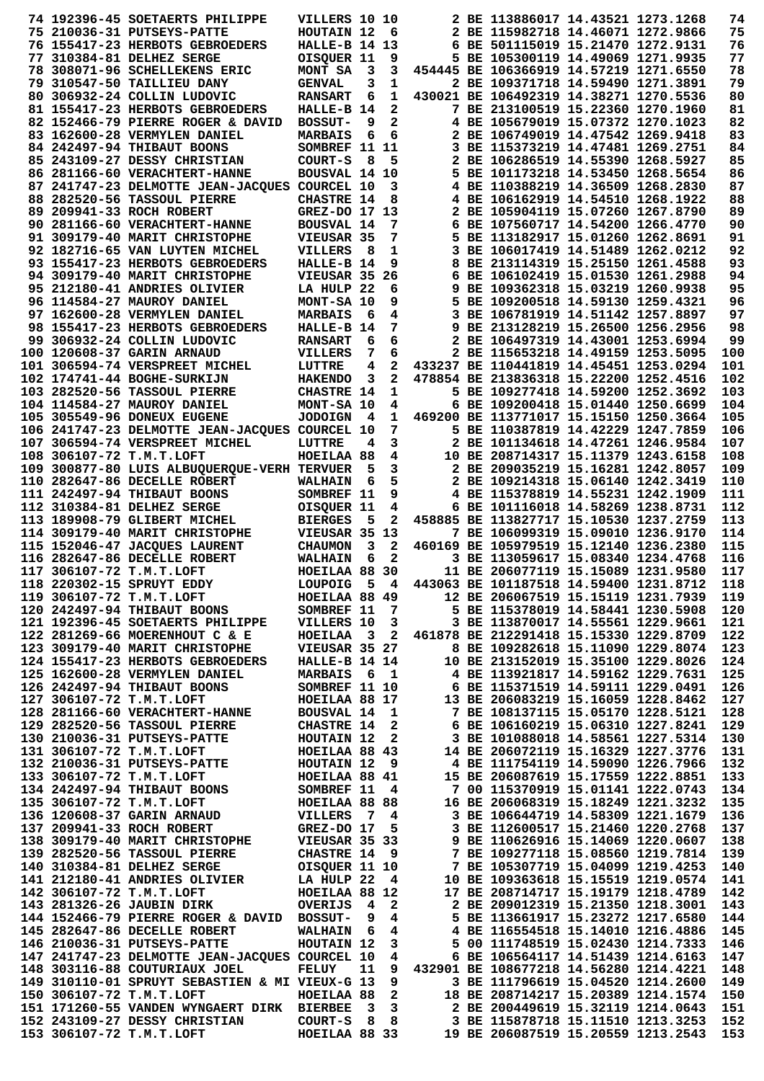|  | 74 192396-45 SOETAERTS PHILIPPE                                                                                                                                                                                                                                                             | VILLERS 10 10     |        |                         |                                                    | 2 BE 113886017 14.43521 1273.1268                                      |  | 74         |
|--|---------------------------------------------------------------------------------------------------------------------------------------------------------------------------------------------------------------------------------------------------------------------------------------------|-------------------|--------|-------------------------|----------------------------------------------------|------------------------------------------------------------------------|--|------------|
|  | 75 210036-31 PUTSEYS-PATTE                                                                                                                                                                                                                                                                  | HOUTAIN 12        |        | - 6                     |                                                    | 2 BE 115982718 14.46071 1272.9866                                      |  | 75         |
|  |                                                                                                                                                                                                                                                                                             |                   |        |                         |                                                    |                                                                        |  |            |
|  | 76 155417-23 HERBOTS GEBROEDERS                                                                                                                                                                                                                                                             | HALLE-B 14 13     |        |                         |                                                    | 6 BE 501115019 15.21470 1272.9131                                      |  | 76         |
|  | 77 310384-81 DELHEZ SERGE                                                                                                                                                                                                                                                                   | OISQUER 11        |        | 9                       |                                                    | 5 BE 105300119 14.49069 1271.9935                                      |  | 77         |
|  | 78 308071-96 SCHELLEKENS ERIC                                                                                                                                                                                                                                                               | MONT SA           | $_{3}$ | 3                       |                                                    | 454445 BE 106366919 14.57219 1271.6550                                 |  | 78         |
|  | 79 310547-50 TAILLIEU DANY                                                                                                                                                                                                                                                                  | <b>GENVAL</b>     | 3      | 1                       |                                                    | 2 BE 109371718 14.59490 1271.3891                                      |  | 79         |
|  | 80 306932-24 COLLIN LUDOVIC                                                                                                                                                                                                                                                                 | <b>RANSART</b>    | 6      | 1                       |                                                    | 430021 BE 106492319 14.38271 1270.5536                                 |  | 80         |
|  | 81 155417-23 HERBOTS GEBROEDERS                                                                                                                                                                                                                                                             | HALLE-B 14        |        | 2                       |                                                    | 7 BE 213100519 15.22360 1270.1960                                      |  | 81         |
|  |                                                                                                                                                                                                                                                                                             |                   |        |                         |                                                    |                                                                        |  |            |
|  | 82 152466-79 PIERRE ROGER & DAVID                                                                                                                                                                                                                                                           | <b>BOSSUT-</b>    | 9      | 2                       |                                                    | 4 BE 105679019 15.07372 1270.1023                                      |  | 82         |
|  | 83 162600-28 VERMYLEN DANIEL                                                                                                                                                                                                                                                                | <b>MARBAIS</b>    | 6      | 6                       |                                                    | 2 BE 106749019 14.47542 1269.9418                                      |  | 83         |
|  | 84 242497-94 THIBAUT BOONS                                                                                                                                                                                                                                                                  | SOMBREF 11 11     |        |                         |                                                    | 3 BE 115373219 14.47481 1269.2751                                      |  | 84         |
|  | 85 243109-27 DESSY CHRISTIAN                                                                                                                                                                                                                                                                | COURT-S           | 8      | 5                       |                                                    | 2 BE 106286519 14.55390 1268.5927                                      |  | 85         |
|  | 86 281166-60 VERACHTERT-HANNE                                                                                                                                                                                                                                                               | BOUSVAL 14 10     |        |                         |                                                    | 5 BE 101173218 14.53450 1268.5654                                      |  | 86         |
|  |                                                                                                                                                                                                                                                                                             |                   |        |                         |                                                    |                                                                        |  |            |
|  | 87 241747-23 DELMOTTE JEAN-JACQUES COURCEL 10                                                                                                                                                                                                                                               |                   |        | 3                       |                                                    | 4 BE 110388219 14.36509 1268.2830                                      |  | 87         |
|  | 88 282520-56 TASSOUL PIERRE                                                                                                                                                                                                                                                                 | <b>CHASTRE 14</b> |        | 8                       |                                                    | 4 BE 106162919 14.54510 1268.1922                                      |  | 88         |
|  | 89 209941-33 ROCH ROBERT                                                                                                                                                                                                                                                                    | GREZ-DO 17 13     |        |                         |                                                    | 2 BE 105904119 15.07260 1267.8790                                      |  | 89         |
|  | 90 281166-60 VERACHTERT-HANNE                                                                                                                                                                                                                                                               | <b>BOUSVAL 14</b> |        | 7                       |                                                    | 6 BE 107560717 14.54200 1266.4770                                      |  | 90         |
|  | 91 309179-40 MARIT CHRISTOPHE                                                                                                                                                                                                                                                               | VIEUSAR 35        |        | 7                       |                                                    | 5 BE 113182917 15.01260 1262.8691                                      |  | 91         |
|  | 92 182716-65 VAN LUYTEN MICHEL                                                                                                                                                                                                                                                              | <b>VILLERS</b>    | - 8    | 1                       |                                                    | 3 BE 106017419 14.51489 1262.0212                                      |  | 92         |
|  |                                                                                                                                                                                                                                                                                             |                   |        |                         |                                                    |                                                                        |  |            |
|  | 93 155417-23 HERBOTS GEBROEDERS                                                                                                                                                                                                                                                             | HALLE-B 14        |        | 9                       |                                                    | 8 BE 213114319 15.25150 1261.4588                                      |  | 93         |
|  | 94 309179-40 MARIT CHRISTOPHE                                                                                                                                                                                                                                                               | VIEUSAR 35 26     |        |                         |                                                    | 6 BE 106102419 15.01530 1261.2988                                      |  | 94         |
|  | 95 212180-41 ANDRIES OLIVIER                                                                                                                                                                                                                                                                | LA HULP 22        |        | 6                       |                                                    | 9 BE 109362318 15.03219 1260.9938                                      |  | 95         |
|  | 96 114584-27 MAUROY DANIEL                                                                                                                                                                                                                                                                  | MONT-SA 10        |        | 9                       |                                                    | 5 BE 109200518 14.59130 1259.4321                                      |  | 96         |
|  | 97 162600-28 VERMYLEN DANIEL                                                                                                                                                                                                                                                                | <b>MARBAIS</b>    | - 6    | 4                       |                                                    | 3 BE 106781919 14.51142 1257.8897                                      |  | 97         |
|  | 98 155417-23 HERBOTS GEBROEDERS                                                                                                                                                                                                                                                             | HALLE-B 14        |        | 7                       |                                                    | 9 BE 213128219 15.26500 1256.2956                                      |  | 98         |
|  |                                                                                                                                                                                                                                                                                             |                   |        |                         |                                                    |                                                                        |  |            |
|  | 99 306932-24 COLLIN LUDOVIC                                                                                                                                                                                                                                                                 | <b>RANSART</b>    | 6      | 6                       |                                                    | 2 BE 106497319 14.43001 1253.6994                                      |  | 99         |
|  | 100 120608-37 GARIN ARNAUD                                                                                                                                                                                                                                                                  | VILLERS           | 7      | 6                       |                                                    | 2 BE 115653218 14.49159 1253.5095                                      |  | 100        |
|  | 101 306594-74 VERSPREET MICHEL                                                                                                                                                                                                                                                              | LUTTRE            | 4      | 2                       |                                                    | 433237 BE 110441819 14.45451 1253.0294                                 |  | 101        |
|  | 102 174741-44 BOGHE-SURKIJN                                                                                                                                                                                                                                                                 | <b>HAKENDO</b>    | 3      | $\overline{\mathbf{2}}$ |                                                    | 478854 BE 213836318 15.22200 1252.4516                                 |  | 102        |
|  | 103 282520-56 TASSOUL PIERRE                                                                                                                                                                                                                                                                | <b>CHASTRE 14</b> |        | 1                       |                                                    | 5 BE 109277418 14.59200 1252.3692                                      |  | 103        |
|  |                                                                                                                                                                                                                                                                                             |                   |        |                         |                                                    |                                                                        |  |            |
|  | 104 114584-27 MAUROY DANIEL                                                                                                                                                                                                                                                                 | MONT-SA 10        |        | 4                       |                                                    | 6 BE 109200418 15.01440 1250.6699                                      |  | 104        |
|  | 105 305549-96 DONEUX EUGENE                                                                                                                                                                                                                                                                 | <b>JODOIGN</b>    | -4     | 1                       |                                                    | 469200 BE 113771017 15.15150 1250.3664                                 |  | 105        |
|  | 106  241747-23 DELMOTTE JEAN-JACQUES COURCEL 10                                                                                                                                                                                                                                             |                   |        | 7                       |                                                    | 5 BE 110387819 14.42229 1247.7859                                      |  | 106        |
|  | 107 306594-74 VERSPREET MICHEL                                                                                                                                                                                                                                                              | LUTTRE            | 4      | 3                       |                                                    | 2 BE 101134618 14.47261 1246.9584                                      |  | 107        |
|  | 108 306107-72 T.M.T.LOFT                                                                                                                                                                                                                                                                    | HOEILAA 88        |        | 4                       |                                                    | 10 BE 208714317 15.11379 1243.6158                                     |  | 108        |
|  |                                                                                                                                                                                                                                                                                             |                   |        |                         |                                                    |                                                                        |  |            |
|  | 109 300877-80 LUIS ALBUQUERQUE-VERH TERVUER                                                                                                                                                                                                                                                 |                   | -5     | 3                       |                                                    | 2 BE 209035219 15.16281 1242.8057                                      |  | 109        |
|  | 110 282647-86 DECELLE ROBERT                                                                                                                                                                                                                                                                | <b>WALHAIN</b>    | 6      | 5                       |                                                    | 2 BE 109214318 15.06140 1242.3419                                      |  | 110        |
|  | 111 242497-94 THIBAUT BOONS                                                                                                                                                                                                                                                                 | SOMBREF 11        |        | 9                       |                                                    | 4 BE 115378819 14.55231 1242.1909                                      |  | 111        |
|  | 112 310384-81 DELHEZ SERGE                                                                                                                                                                                                                                                                  | OISQUER 11        |        | 4                       |                                                    | 6 BE 101116018 14.58269 1238.8731                                      |  | 112        |
|  | 113 189908-79 GLIBERT MICHEL                                                                                                                                                                                                                                                                | <b>BIERGES</b>    | 5      | 2                       |                                                    | 458885 BE 113827717 15.10530 1237.2759                                 |  | 113        |
|  | 114 309179-40 MARIT CHRISTOPHE                                                                                                                                                                                                                                                              | VIEUSAR 35 13     |        |                         |                                                    | 7 BE 106099319 15.09010 1236.9170                                      |  | 114        |
|  |                                                                                                                                                                                                                                                                                             |                   |        |                         |                                                    |                                                                        |  |            |
|  | 115 152046-47 JACQUES LAURENT                                                                                                                                                                                                                                                               | <b>CHAUMON</b>    | 3      | 2                       |                                                    | 460169 BE 105979519 15.12140 1236.2380                                 |  | 115        |
|  | 116 282647-86 DECELLE ROBERT                                                                                                                                                                                                                                                                | <b>WALHAIN</b>    | 6      | $\mathbf{2}$            |                                                    | 3 BE 113059617 15.08340 1234.4768                                      |  | 116        |
|  | 117 306107-72 T.M.T.LOFT                                                                                                                                                                                                                                                                    | HOEILAA 88 30     |        |                         |                                                    | 11 BE 206077119 15.15089 1231.9580                                     |  | 117        |
|  | 118 220302-15 SPRUYT EDDY                                                                                                                                                                                                                                                                   | LOUPOIG 5 4       |        |                         |                                                    | 443063 BE 101187518 14.59400 1231.8712                                 |  | 118        |
|  | 119 306107-72 T.M.T.LOFT<br>119 306107-72 T.M.T.LOFT                         HOEILAA 88 49         12 BE 206067519 15.15119 1231.7939<br>120 242497-94 THIBAUT BOONS           SOMBREF 11   7         5 BE 115378019 14.58441 1230.5908<br>121 192396-45 SOETAER                            |                   |        |                         |                                                    |                                                                        |  | 119        |
|  |                                                                                                                                                                                                                                                                                             |                   |        |                         |                                                    |                                                                        |  | 120        |
|  |                                                                                                                                                                                                                                                                                             |                   |        |                         |                                                    |                                                                        |  | 121        |
|  | 122 281269-66 MOERENHOUT C & E                                                                                                                                                                                                                                                              |                   |        |                         | HOEILAA 3 2 461878 BE 212291418 15.15330 1229.8709 |                                                                        |  | 122        |
|  |                                                                                                                                                                                                                                                                                             |                   |        |                         |                                                    |                                                                        |  |            |
|  | 123 309179-40 MARIT CHRISTOPHE VIEUSAR 35 27 8 BE 109282618 15.11090 1229.8074<br>124 155417-23 HERBOTS GEBROEDERS HALLE-B 14 14 10 BE 213152019 15.35100 1229.8026                                                                                                                         |                   |        |                         |                                                    |                                                                        |  | 123        |
|  |                                                                                                                                                                                                                                                                                             |                   |        |                         |                                                    |                                                                        |  | 124        |
|  |                                                                                                                                                                                                                                                                                             |                   |        |                         |                                                    |                                                                        |  | 125        |
|  |                                                                                                                                                                                                                                                                                             |                   |        |                         |                                                    |                                                                        |  | 126        |
|  |                                                                                                                                                                                                                                                                                             |                   |        |                         |                                                    |                                                                        |  | 127        |
|  |                                                                                                                                                                                                                                                                                             |                   |        |                         |                                                    |                                                                        |  | 128        |
|  |                                                                                                                                                                                                                                                                                             |                   |        |                         |                                                    |                                                                        |  |            |
|  |                                                                                                                                                                                                                                                                                             |                   |        |                         |                                                    |                                                                        |  | 129        |
|  |                                                                                                                                                                                                                                                                                             |                   |        |                         |                                                    |                                                                        |  | 130        |
|  |                                                                                                                                                                                                                                                                                             |                   |        |                         |                                                    |                                                                        |  | 131        |
|  |                                                                                                                                                                                                                                                                                             |                   |        |                         |                                                    |                                                                        |  | 132        |
|  |                                                                                                                                                                                                                                                                                             |                   |        |                         |                                                    |                                                                        |  | 133        |
|  |                                                                                                                                                                                                                                                                                             |                   |        |                         |                                                    |                                                                        |  | 134        |
|  |                                                                                                                                                                                                                                                                                             |                   |        |                         |                                                    |                                                                        |  |            |
|  |                                                                                                                                                                                                                                                                                             |                   |        |                         |                                                    |                                                                        |  | 135        |
|  |                                                                                                                                                                                                                                                                                             |                   |        |                         |                                                    |                                                                        |  | 136        |
|  |                                                                                                                                                                                                                                                                                             |                   |        |                         |                                                    |                                                                        |  | 137        |
|  |                                                                                                                                                                                                                                                                                             |                   |        |                         |                                                    |                                                                        |  | 138        |
|  |                                                                                                                                                                                                                                                                                             |                   |        |                         |                                                    |                                                                        |  | 139        |
|  |                                                                                                                                                                                                                                                                                             |                   |        |                         |                                                    |                                                                        |  | 140        |
|  |                                                                                                                                                                                                                                                                                             |                   |        |                         |                                                    |                                                                        |  |            |
|  |                                                                                                                                                                                                                                                                                             |                   |        |                         |                                                    |                                                                        |  | 141        |
|  |                                                                                                                                                                                                                                                                                             |                   |        |                         |                                                    |                                                                        |  | 142        |
|  |                                                                                                                                                                                                                                                                                             |                   |        |                         |                                                    |                                                                        |  | 143        |
|  | 124 155417-23 HERDOTS GEROEDERS HALLE-B 14 1<br>10 BE 213152019 15.35100 1229.8026<br>125 162600-28 VERNVERS EMOREES HALLE-B 14 14<br>10 BE 213152019 15.35100 1229.8026<br>127 306107-72 T.M.T.LOFT<br>127 306107-72 T.M.T.LOFT<br>127 3<br>144 152466-79 PIERRE ROGER & DAVID BOSSUT- 9 4 |                   |        |                         |                                                    |                                                                        |  | 144        |
|  | 145 282647-86 DECELLE ROBERT WALHAIN 6 4                                                                                                                                                                                                                                                    |                   |        |                         |                                                    | 5 BE 113661917 15.23272 1217.6580<br>4 BE 116554518 15.14010 1216.4886 |  | 145        |
|  |                                                                                                                                                                                                                                                                                             |                   |        |                         |                                                    |                                                                        |  |            |
|  | 146 210036-31 PUTSEYS-PATTE HOUTAIN 12                                                                                                                                                                                                                                                      |                   |        |                         | 3 5 00 111748519 15.02430 1214.7333                |                                                                        |  | 146        |
|  | 147 241747-23 DELMOTTE JEAN-JACQUES COURCEL 10 4                                                                                                                                                                                                                                            |                   |        |                         |                                                    | 6 BE 106564117 14.51439 1214.6163                                      |  | 147        |
|  | 148 303116-88 COUTURIAUX JOEL                                                                                                                                                                                                                                                               | <b>FELUY</b>      |        |                         | 11 9 432901 BE 108677218 14.56280 1214.4221        |                                                                        |  | 148        |
|  | 149 310110-01 SPRUYT SEBASTIEN & MI VIEUX-G 13 9                                                                                                                                                                                                                                            |                   |        |                         |                                                    | 3 BE 111796619 15.04520 1214.2600                                      |  | 149        |
|  | HOEILAA 88 2<br>150 306107-72 T.M.T.LOFT                                                                                                                                                                                                                                                    |                   |        |                         |                                                    | 18 BE 208714217 15.20389 1214.1574                                     |  | 150        |
|  |                                                                                                                                                                                                                                                                                             |                   |        |                         |                                                    |                                                                        |  | 151        |
|  |                                                                                                                                                                                                                                                                                             |                   |        |                         |                                                    |                                                                        |  |            |
|  |                                                                                                                                                                                                                                                                                             |                   |        |                         |                                                    |                                                                        |  |            |
|  | 151 171260-55 VANDEN WYNGAERT DIRK BIERBEE 3 3 2 BE 200449619 15.32119 1214.0643<br>152 243109-27 DESSY CHRISTIAN COURT-S 8 8 3 BE 115878718 15.11510 1213.3253<br>153 306107-72 T.M.T.LOFT HOEILAA 88 33 19 BE 206087519 15.20559 1                                                        |                   |        |                         |                                                    |                                                                        |  | 152<br>153 |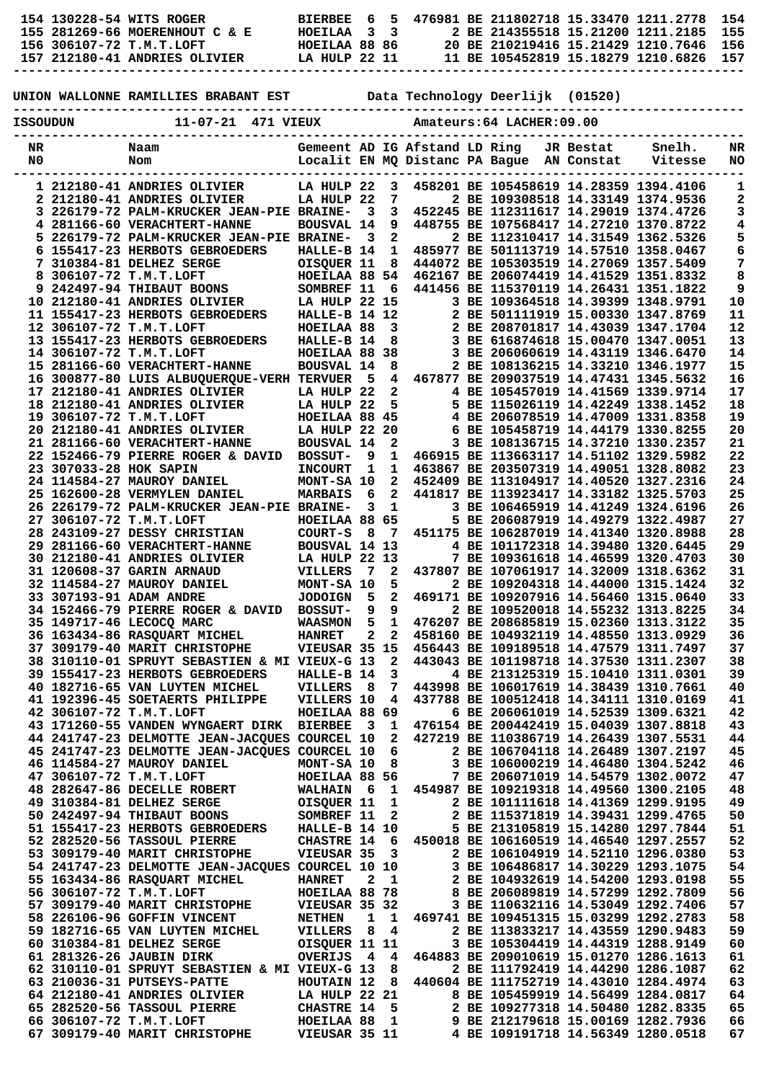| 154 130228-54 WITS ROGER       |  |  | RTERREE 6     | .5. |  |  | 476981 BE 211802718 15.33470 1211.2778 154 |  |
|--------------------------------|--|--|---------------|-----|--|--|--------------------------------------------|--|
| 155 281269-66 MOERENHOUT C & E |  |  | HOEILAA 33    |     |  |  | 2 BE 214355518 15.21200 1211.2185 155      |  |
| 156 306107-72 T.M.T.LOFT       |  |  | HOEILAA 88 86 |     |  |  | 20 BE 210219416 15.21429 1210.7646 156     |  |
| 157 212180-41 ANDRIES OLIVIER  |  |  | LA HULP 22 11 |     |  |  | 11 BE 105452819 15.18279 1210.6826 157     |  |
|                                |  |  |               |     |  |  |                                            |  |

## **UNION WALLONNE RAMILLIES BRABANT EST Data Technology Deerlijk (01520)**

|          |                        | ------------------                                                              |                                        |                         |                              |                                |                                                                                  |            |         |          |
|----------|------------------------|---------------------------------------------------------------------------------|----------------------------------------|-------------------------|------------------------------|--------------------------------|----------------------------------------------------------------------------------|------------|---------|----------|
| ISSOUDUN |                        | 11-07-21 471 VIEUX                                                              |                                        |                         |                              |                                | Amateurs: 64 LACHER: 09.00                                                       |            |         |          |
| NR       |                        | Naam                                                                            |                                        |                         |                              | Gemeent AD IG Afstand LD Ring  |                                                                                  | JR Bestat  | Snelh.  | NR       |
| N0       |                        | Nom                                                                             |                                        |                         |                              | Localit EN MQ Distanc PA Bague |                                                                                  | AN Constat | Vitesse | NO       |
|          |                        |                                                                                 |                                        |                         |                              |                                |                                                                                  |            |         |          |
|          |                        | 1 212180-41 ANDRIES OLIVIER                                                     | LA HULP 22                             |                         | 3                            |                                | 458201 BE 105458619 14.28359 1394.4106                                           |            |         | 1        |
|          |                        | 2 212180-41 ANDRIES OLIVIER<br><b>3 226179-72 PALM-KRUCKER JEAN-PIE BRAINE-</b> | LA HULP 22                             | 3                       | 7<br>3                       |                                | 2 BE 109308518 14.33149 1374.9536<br>452245 BE 112311617 14.29019 1374.4726      |            |         | 2<br>3   |
|          |                        | 4 281166-60 VERACHTERT-HANNE                                                    | <b>BOUSVAL 14</b>                      |                         | 9                            |                                | 448755 BE 107568417 14.27210 1370.8722                                           |            |         | 4        |
|          |                        | 5 226179-72 PALM-KRUCKER JEAN-PIE BRAINE-                                       |                                        | 3                       | 2                            |                                | 2 BE 112310417 14.31549 1362.5326                                                |            |         | 5        |
|          |                        | 6 155417-23 HERBOTS GEBROEDERS                                                  | HALLE-B 14                             |                         | 1                            |                                | 485977 BE 501113719 14.57510 1358.0467                                           |            |         | 6        |
|          |                        | 7 310384-81 DELHEZ SERGE                                                        | OISQUER 11                             |                         | 8                            |                                | 444072 BE 105303519 14.27069 1357.5409                                           |            |         | 7        |
| 8        |                        | 306107-72 T.M.T.LOFT                                                            | HOEILAA 88 54                          |                         |                              |                                | 462167 BE 206074419 14.41529 1351.8332                                           |            |         | 8        |
|          |                        | 9 242497-94 THIBAUT BOONS                                                       | SOMBREF 11                             |                         | 6                            |                                | 441456 BE 115370119 14.26431 1351.1822                                           |            |         | 9        |
|          |                        | 10 212180-41 ANDRIES OLIVIER<br>11 155417-23 HERBOTS GEBROEDERS                 | <b>LA HULP 22 15</b><br>HALLE-B 14 12  |                         |                              |                                | 3 BE 109364518 14.39399 1348.9791<br>2 BE 501111919 15.00330 1347.8769           |            |         | 10<br>11 |
|          |                        | 12 306107-72 T.M.T.LOFT                                                         | HOEILAA 88                             |                         | 3                            |                                | 2 BE 208701817 14.43039 1347.1704                                                |            |         | 12       |
|          |                        | 13 155417-23 HERBOTS GEBROEDERS                                                 | HALLE-B 14                             |                         | 8                            |                                | 3 BE 616874618 15.00470 1347.0051                                                |            |         | 13       |
|          |                        | 14 306107-72 T.M.T.LOFT                                                         | HOEILAA 88                             |                         | 38                           |                                | 3 BE 206060619 14.43119 1346.6470                                                |            |         | 14       |
|          |                        | 15 281166-60 VERACHTERT-HANNE                                                   | <b>BOUSVAL 14</b>                      |                         | 8                            |                                | 2 BE 108136215 14.33210 1346.1977                                                |            |         | 15       |
|          |                        | 16 300877-80 LUIS ALBUQUERQUE-VERH TERVUER                                      |                                        | 5                       | 4                            |                                | 467877 BE 209037519 14.47431 1345.5632                                           |            |         | 16       |
|          |                        | 17 212180-41 ANDRIES OLIVIER                                                    | LA HULP 22                             |                         | 2                            |                                | 4 BE 105457019 14.41569 1339.9714                                                |            |         | 17       |
|          |                        | 18 212180-41 ANDRIES OLIVIER                                                    | LA HULP 22                             |                         | 5                            |                                | 5 BE 115026119 14.42249 1338.1452                                                |            |         | 18       |
|          |                        | 19 306107-72 T.M.T.LOFT                                                         | HOEILAA 88 45<br><b>LA HULP 22 20</b>  |                         |                              |                                | 4 BE 206078519 14.47009 1331.8358<br>6 BE 105458719 14.44179 1330.8255           |            |         | 19<br>20 |
|          |                        | 20 212180-41 ANDRIES OLIVIER<br>21 281166-60 VERACHTERT-HANNE                   | <b>BOUSVAL 14</b>                      |                         | 2                            |                                | 3 BE 108136715 14.37210 1330.2357                                                |            |         | 21       |
|          |                        | 22 152466-79 PIERRE ROGER & DAVID                                               | <b>BOSSUT-</b>                         | 9                       | 1                            |                                | 466915 BE 113663117 14.51102 1329.5982                                           |            |         | 22       |
|          | 23 307033-28 HOK SAPIN |                                                                                 | <b>INCOURT</b>                         | 1                       | 1                            |                                | 463867 BE 203507319 14.49051 1328.8082                                           |            |         | 23       |
|          |                        | 24 114584-27 MAUROY DANIEL                                                      | MONT-SA 10                             |                         | 2                            |                                | 452409 BE 113104917 14.40520 1327.2316                                           |            |         | 24       |
|          |                        | 25 162600-28 VERMYLEN DANIEL                                                    | <b>MARBAIS</b>                         | 6                       | 2                            |                                | 441817 BE 113923417 14.33182 1325.5703                                           |            |         | 25       |
|          |                        | 26 226179-72 PALM-KRUCKER JEAN-PIE BRAINE-                                      |                                        | 3                       | 1                            |                                | 3 BE 106465919 14.41249 1324.6196                                                |            |         | 26       |
|          |                        | 27 306107-72 T.M.T.LOFT                                                         | HOEILAA 88 65                          |                         |                              |                                | 5 BE 206087919 14.49279 1322.4987                                                |            |         | 27       |
|          |                        | 28 243109-27 DESSY CHRISTIAN                                                    | COURT-S                                | 8                       | 7                            |                                | 451175 BE 106287019 14.41340 1320.8988                                           |            |         | 28       |
|          |                        | 29 281166-60 VERACHTERT-HANNE                                                   | BOUSVAL 14 13                          |                         |                              |                                | 4 BE 101172318 14.39480 1320.6445                                                |            |         | 29       |
|          |                        | 30 212180-41 ANDRIES OLIVIER<br><b>31 120608-37 GARIN ARNAUD</b>                | LA HULP 22 13<br><b>VILLERS</b>        | 7                       | 2                            |                                | 7 BE 109361618 14.46599 1320.4703<br>437807 BE 107061917 14.32009 1318.6362      |            |         | 30<br>31 |
|          |                        | 32 114584-27 MAUROY DANIEL                                                      | MONT-SA 10                             |                         | 5                            |                                | 2 BE 109204318 14.44000 1315.1424                                                |            |         | 32       |
|          |                        | 33 307193-91 ADAM ANDRE                                                         | <b>JODOIGN</b>                         | 5                       | $\mathbf{2}$                 |                                | 469171 BE 109207916 14.56460 1315.0640                                           |            |         | 33       |
|          |                        | <b>34 152466-79 PIERRE ROGER &amp; DAVID</b>                                    | <b>BOSSUT-</b>                         | 9                       | 9                            |                                | 2 BE 109520018 14.55232 1313.8225                                                |            |         | 34       |
|          |                        | 35 149717-46 LECOCO MARC                                                        | WAASMON                                | 5                       | 1                            |                                | 476207 BE 208685819 15.02360 1313.3122                                           |            |         | 35       |
|          |                        | 36 163434-86 RASQUART MICHEL                                                    | <b>HANRET</b>                          | 2                       | 2                            |                                | 458160 BE 104932119 14.48550 1313.0929                                           |            |         | 36       |
|          |                        | 37 309179-40 MARIT CHRISTOPHE                                                   | VIEUSAR 35 15                          |                         |                              |                                | 456443 BE 109189518 14.47579 1311.7497                                           |            |         | 37       |
|          |                        | 38 310110-01 SPRUYT SEBASTIEN & MI VIEUX-G 13                                   |                                        |                         | 2                            |                                | 443043 BE 101198718 14.37530 1311.2307                                           |            |         | 38       |
|          |                        | <b>39 155417-23 HERBOTS GEBROEDERS</b>                                          | HALLE-B 14                             |                         | 3                            |                                | 4 BE 213125319 15.10410 1311.0301                                                |            |         | 39       |
|          |                        | 40 182716-65 VAN LUYTEN MICHEL<br>41 192396-45 SOETAERTS PHILIPPE               | <b>VILLERS</b><br>VILLERS 10           | - 8                     | 7<br>4                       |                                | 443998 BE 106017619 14.38439 1310.7661<br>437788 BE 100512418 14.34111 1310.0169 |            |         | 40<br>41 |
|          |                        | 42 306107-72 T.M.T.LOFT                                                         | HOEILAA 88 69                          |                         |                              |                                | 6 BE 206061019 14.52539 1309.6321                                                |            |         | 42       |
|          |                        | 43 171260-55 VANDEN WYNGAERT DIRK BIERBEE                                       |                                        | $\overline{\mathbf{3}}$ | $\mathbf{1}$                 |                                | 476154 BE 200442419 15.04039 1307.8818                                           |            |         | 43       |
|          |                        | 44 241747-23 DELMOTTE JEAN-JACQUES COURCEL 10                                   |                                        |                         | 2                            |                                | 427219 BE 110386719 14.26439 1307.5531                                           |            |         | 44       |
|          |                        | 45 241747-23 DELMOTTE JEAN-JACQUES COURCEL 10                                   |                                        |                         | 6                            |                                | 2 BE 106704118 14.26489 1307.2197                                                |            |         | 45       |
|          |                        | 46 114584-27 MAUROY DANIEL                                                      | MONT-SA 10                             |                         | 8                            |                                | 3 BE 106000219 14.46480 1304.5242                                                |            |         | 46       |
|          |                        | 47 306107-72 T.M.T.LOFT                                                         | HOEILAA 88 56                          |                         |                              |                                | 7 BE 206071019 14.54579 1302.0072                                                |            |         | 47       |
|          |                        | 48 282647-86 DECELLE ROBERT                                                     | WALHAIN 6                              |                         | 1                            |                                | 454987 BE 109219318 14.49560 1300.2105                                           |            |         | 48       |
|          |                        | 49 310384-81 DELHEZ SERGE<br>50 242497-94 THIBAUT BOONS                         | OISQUER 11<br>SOMBREF 11               |                         | $\mathbf{1}$<br>$\mathbf{2}$ |                                | 2 BE 101111618 14.41369 1299.9195<br>2 BE 115371819 14.39431 1299.4765           |            |         | 49<br>50 |
|          |                        | 51 155417-23 HERBOTS GEBROEDERS                                                 | HALLE-B 14 10                          |                         |                              |                                | 5 BE 213105819 15.14280 1297.7844                                                |            |         | 51       |
|          |                        | 52 282520-56 TASSOUL PIERRE                                                     | CHASTRE 14 6                           |                         |                              |                                | 450018 BE 106160519 14.46540 1297.2557                                           |            |         | 52       |
|          |                        | 53 309179-40 MARIT CHRISTOPHE                                                   | VIEUSAR 35                             |                         | 3                            |                                | 2 BE 106104919 14.52110 1296.0380                                                |            |         | 53       |
|          |                        | 54 241747-23 DELMOTTE JEAN-JACQUES COURCEL 10 10                                |                                        |                         |                              |                                | 3 BE 106486817 14.30229 1293.1075                                                |            |         | 54       |
|          |                        | 55 163434-86 RASQUART MICHEL                                                    | <b>HANRET</b>                          | $\mathbf{2}$            | $\mathbf{1}$                 |                                | 2 BE 104932619 14.54200 1293.0198                                                |            |         | 55       |
|          |                        | 56 306107-72 T.M.T.LOFT                                                         | HOEILAA 88 78                          |                         |                              |                                | 8 BE 206089819 14.57299 1292.7809                                                |            |         | 56       |
|          |                        | 57 309179-40 MARIT CHRISTOPHE                                                   | VIEUSAR 35 32                          |                         |                              |                                | 3 BE 110632116 14.53049 1292.7406                                                |            |         | 57       |
|          |                        | 58 226106-96 GOFFIN VINCENT                                                     | <b>NETHEN</b>                          |                         | $1\quad1$                    |                                | 469741 BE 109451315 15.03299 1292.2783                                           |            |         | 58       |
|          |                        | 59 182716-65 VAN LUYTEN MICHEL<br>60 310384-81 DELHEZ SERGE                     | VILLERS                                | $_{\rm 8}$              | 4                            |                                | 2 BE 113833217 14.43559 1290.9483<br>3 BE 105304419 14.44319 1288.9149           |            |         | 59<br>60 |
|          |                        | 61 281326-26 JAUBIN DIRK                                                        | OISQUER 11 11<br>OVERIJS <sub>44</sub> |                         |                              |                                | 464883 BE 209010619 15.01270 1286.1613                                           |            |         | 61       |
|          |                        | 62 310110-01 SPRUYT SEBASTIEN & MI VIEUX-G 13                                   |                                        |                         | 8                            |                                | 2 BE 111792419 14.44290 1286.1087                                                |            |         | 62       |
|          |                        | 63 210036-31 PUTSEYS-PATTE                                                      | HOUTAIN 12                             |                         | 8                            |                                | 440604 BE 111752719 14.43010 1284.4974                                           |            |         | 63       |
|          |                        | 64 212180-41 ANDRIES OLIVIER                                                    | <b>LA HULP 22 21</b>                   |                         |                              |                                | 8 BE 105459919 14.56499 1284.0817                                                |            |         | 64       |
|          |                        | 65 282520-56 TASSOUL PIERRE                                                     | <b>CHASTRE 14</b>                      |                         | $-5$                         |                                | 2 BE 109277318 14.50480 1282.8335                                                |            |         | 65       |
|          |                        | 66 306107-72 T.M.T.LOFT                                                         | HOEILAA 88                             |                         | $\mathbf{1}$                 |                                | 9 BE 212179618 15.00169 1282.7936                                                |            |         | 66       |
|          |                        | 67 309179-40 MARIT CHRISTOPHE                                                   | <b>VIEUSAR 35 11</b>                   |                         |                              |                                | 4 BE 109191718 14.56349 1280.0518                                                |            |         | 67       |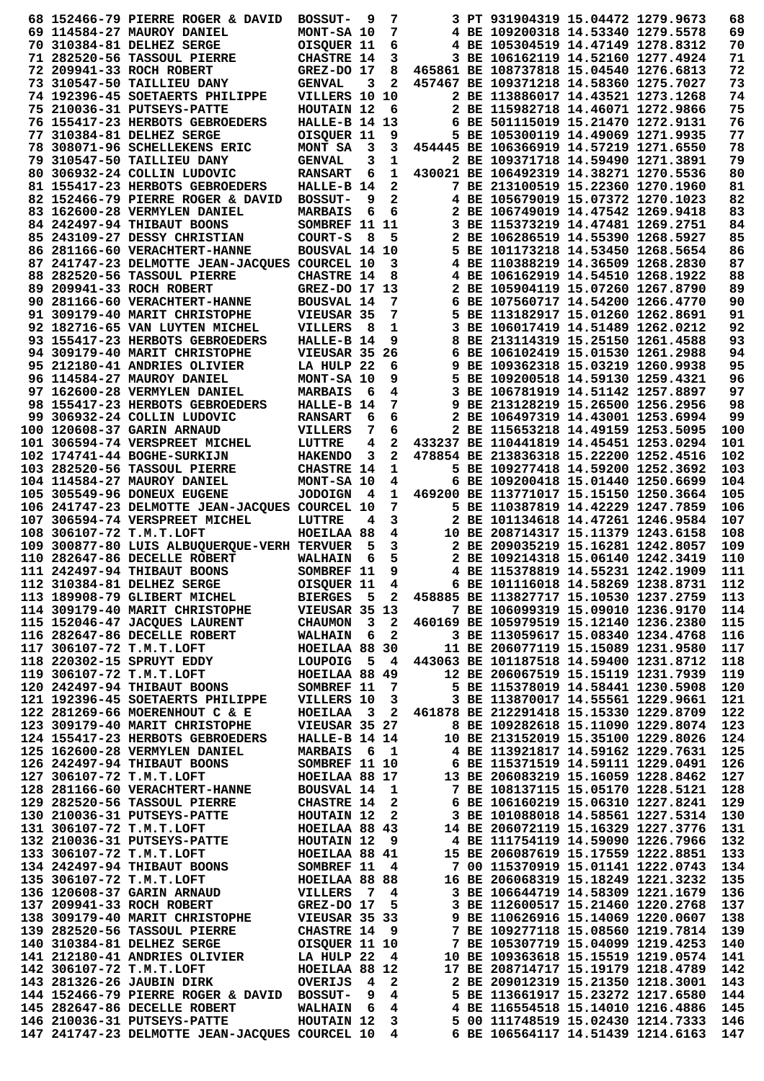|  | 68 152466-79 PIERRE ROGER & DAVID                                                                                                                                                                                                       | <b>BOSSUT-</b>                | 9                       | 7                       |                                                                         | 3 PT 931904319 15.04472 1279.9673                                       |  | 68         |
|--|-----------------------------------------------------------------------------------------------------------------------------------------------------------------------------------------------------------------------------------------|-------------------------------|-------------------------|-------------------------|-------------------------------------------------------------------------|-------------------------------------------------------------------------|--|------------|
|  | 69 114584-27 MAUROY DANIEL                                                                                                                                                                                                              | MONT-SA 10                    |                         | 7                       |                                                                         | 4 BE 109200318 14.53340 1279.5578                                       |  | 69         |
|  | 70 310384-81 DELHEZ SERGE                                                                                                                                                                                                               | OISQUER 11                    |                         | 6                       |                                                                         | 4 BE 105304519 14.47149 1278.8312                                       |  | 70         |
|  | 71 282520-56 TASSOUL PIERRE                                                                                                                                                                                                             | <b>CHASTRE 14</b>             |                         | 3                       |                                                                         | 3 BE 106162119 14.52160 1277.4924                                       |  | 71         |
|  | 72 209941-33 ROCH ROBERT                                                                                                                                                                                                                | GREZ-DO 17                    |                         | 8                       |                                                                         | 465861 BE 108737818 15.04540 1276.6813                                  |  | 72         |
|  | 73 310547-50 TAILLIEU DANY                                                                                                                                                                                                              | <b>GENVAL</b>                 | 3                       | $\mathbf{2}$            |                                                                         | 457467 BE 109371218 14.58360 1275.7027                                  |  | 73         |
|  | 74 192396-45 SOETAERTS PHILIPPE                                                                                                                                                                                                         | VILLERS 10 10                 |                         |                         |                                                                         | 2 BE 113886017 14.43521 1273.1268                                       |  | 74         |
|  | 75 210036-31 PUTSEYS-PATTE                                                                                                                                                                                                              | HOUTAIN 12                    |                         | - 6                     |                                                                         | 2 BE 115982718 14.46071 1272.9866                                       |  | 75         |
|  | 76 155417-23 HERBOTS GEBROEDERS                                                                                                                                                                                                         | <b>HALLE-B 14 13</b>          |                         |                         |                                                                         | 6 BE 501115019 15.21470 1272.9131                                       |  | 76         |
|  | 77 310384-81 DELHEZ SERGE                                                                                                                                                                                                               | OISQUER 11                    |                         | 9                       |                                                                         | 5 BE 105300119 14.49069 1271.9935                                       |  | 77         |
|  | 78 308071-96 SCHELLEKENS ERIC                                                                                                                                                                                                           | MONT SA                       | $\overline{\mathbf{3}}$ | 3                       |                                                                         | 454445 BE 106366919 14.57219 1271.6550                                  |  | 78         |
|  | 79 310547-50 TAILLIEU DANY                                                                                                                                                                                                              | <b>GENVAL</b>                 | 3                       | 1                       |                                                                         | 2 BE 109371718 14.59490 1271.3891                                       |  | 79         |
|  | 80 306932-24 COLLIN LUDOVIC                                                                                                                                                                                                             | <b>RANSART</b>                | 6                       | 1                       |                                                                         | 430021 BE 106492319 14.38271 1270.5536                                  |  | 80         |
|  | 81 155417-23 HERBOTS GEBROEDERS                                                                                                                                                                                                         | HALLE-B 14                    |                         | $\mathbf{2}$            |                                                                         | 7 BE 213100519 15.22360 1270.1960                                       |  | 81         |
|  | 82 152466-79 PIERRE ROGER & DAVID                                                                                                                                                                                                       | <b>BOSSUT-</b>                | 9                       | 2                       |                                                                         | 4 BE 105679019 15.07372 1270.1023                                       |  | 82         |
|  | 83 162600-28 VERMYLEN DANIEL                                                                                                                                                                                                            | <b>MARBAIS</b>                | 6                       | 6                       |                                                                         | 2 BE 106749019 14.47542 1269.9418                                       |  | 83         |
|  | 84 242497-94 THIBAUT BOONS                                                                                                                                                                                                              | SOMBREF 11 11                 |                         |                         |                                                                         | 3 BE 115373219 14.47481 1269.2751                                       |  | 84         |
|  | 85 243109-27 DESSY CHRISTIAN                                                                                                                                                                                                            | COURT-S                       | - 8                     | 5                       |                                                                         | 2 BE 106286519 14.55390 1268.5927                                       |  | 85         |
|  | 86 281166-60 VERACHTERT-HANNE                                                                                                                                                                                                           | BOUSVAL 14 10                 |                         |                         |                                                                         | 5 BE 101173218 14.53450 1268.5654                                       |  | 86         |
|  | 87 241747-23 DELMOTTE JEAN-JACQUES COURCEL 10                                                                                                                                                                                           |                               |                         | 3                       |                                                                         | 4 BE 110388219 14.36509 1268.2830                                       |  | 87         |
|  | 88 282520-56 TASSOUL PIERRE                                                                                                                                                                                                             | <b>CHASTRE 14</b>             |                         | 8                       |                                                                         | 4 BE 106162919 14.54510 1268.1922                                       |  | 88         |
|  | 89 209941-33 ROCH ROBERT                                                                                                                                                                                                                | GREZ-DO 17 13                 |                         |                         |                                                                         | 2 BE 105904119 15.07260 1267.8790                                       |  | 89         |
|  | 90 281166-60 VERACHTERT-HANNE                                                                                                                                                                                                           | <b>BOUSVAL 14</b>             |                         | 7                       |                                                                         | 6 BE 107560717 14.54200 1266.4770                                       |  | 90         |
|  | 91 309179-40 MARIT CHRISTOPHE                                                                                                                                                                                                           | VIEUSAR 35                    |                         | 7                       |                                                                         | 5 BE 113182917 15.01260 1262.8691                                       |  | 91         |
|  | 92 182716-65 VAN LUYTEN MICHEL                                                                                                                                                                                                          | <b>VILLERS</b>                | -8                      | 1                       |                                                                         | 3 BE 106017419 14.51489 1262.0212                                       |  | 92         |
|  | 93 155417-23 HERBOTS GEBROEDERS                                                                                                                                                                                                         | HALLE-B 14                    |                         | 9                       |                                                                         | 8 BE 213114319 15.25150 1261.4588                                       |  | 93         |
|  | 94 309179-40 MARIT CHRISTOPHE                                                                                                                                                                                                           | <b>VIEUSAR 35</b>             |                         | 26                      |                                                                         | 6 BE 106102419 15.01530 1261.2988                                       |  | 94         |
|  | 95 212180-41 ANDRIES OLIVIER                                                                                                                                                                                                            | LA HULP 22                    |                         | 6                       |                                                                         | 9 BE 109362318 15.03219 1260.9938                                       |  | 95         |
|  | 96 114584-27 MAUROY DANIEL                                                                                                                                                                                                              | MONT-SA 10                    |                         | 9                       |                                                                         | 5 BE 109200518 14.59130 1259.4321                                       |  | 96         |
|  | 97 162600-28 VERMYLEN DANIEL                                                                                                                                                                                                            | <b>MARBAIS</b>                | 6                       | 4                       |                                                                         | 3 BE 106781919 14.51142 1257.8897                                       |  | 97         |
|  | 98 155417-23 HERBOTS GEBROEDERS                                                                                                                                                                                                         | HALLE-B 14                    |                         | 7                       |                                                                         | 9 BE 213128219 15.26500 1256.2956                                       |  | 98         |
|  | 99 306932-24 COLLIN LUDOVIC                                                                                                                                                                                                             | <b>RANSART</b>                | 6                       | 6                       |                                                                         | 2 BE 106497319 14.43001 1253.6994                                       |  | 99         |
|  | 100 120608-37 GARIN ARNAUD                                                                                                                                                                                                              | <b>VILLERS</b>                | 7                       | 6                       |                                                                         | 2 BE 115653218 14.49159 1253.5095                                       |  | 100        |
|  | 101 306594-74 VERSPREET MICHEL                                                                                                                                                                                                          | LUTTRE                        | 4                       | 2                       |                                                                         | 433237 BE 110441819 14.45451 1253.0294                                  |  | 101        |
|  | 102 174741-44 BOGHE-SURKIJN                                                                                                                                                                                                             | <b>HAKENDO</b>                | 3                       | $\overline{\mathbf{2}}$ |                                                                         | 478854 BE 213836318 15.22200 1252.4516                                  |  | 102        |
|  | 103 282520-56 TASSOUL PIERRE                                                                                                                                                                                                            | <b>CHASTRE 14</b>             |                         | 1                       |                                                                         | 5 BE 109277418 14.59200 1252.3692                                       |  | 103        |
|  | 104 114584-27 MAUROY DANIEL                                                                                                                                                                                                             | MONT-SA 10                    |                         | 4                       |                                                                         | 6 BE 109200418 15.01440 1250.6699                                       |  | 104        |
|  | 105 305549-96 DONEUX EUGENE                                                                                                                                                                                                             | <b>JODOIGN</b>                | - 4                     | 1                       |                                                                         | 469200 BE 113771017 15.15150 1250.3664                                  |  | 105        |
|  | 106  241747-23 DELMOTTE JEAN-JACQUES COURCEL 10                                                                                                                                                                                         |                               |                         | 7                       |                                                                         | 5 BE 110387819 14.42229 1247.7859                                       |  | 106        |
|  | 107 306594-74 VERSPREET MICHEL                                                                                                                                                                                                          | LUTTRE                        | 4                       | 3                       |                                                                         | 2 BE 101134618 14.47261 1246.9584                                       |  | 107        |
|  | 108 306107-72 T.M.T.LOFT                                                                                                                                                                                                                | HOEILAA 88                    |                         | 4                       |                                                                         | 10 BE 208714317 15.11379 1243.6158                                      |  | 108        |
|  | 109 300877-80 LUIS ALBUQUERQUE-VERH TERVUER                                                                                                                                                                                             |                               | 5                       | 3                       |                                                                         | 2 BE 209035219 15.16281 1242.8057                                       |  | 109        |
|  | 110 282647-86 DECELLE ROBERT                                                                                                                                                                                                            | <b>WALHAIN</b>                | 6                       | 5                       |                                                                         | 2 BE 109214318 15.06140 1242.3419                                       |  | 110        |
|  | 111 242497-94 THIBAUT BOONS                                                                                                                                                                                                             | SOMBREF 11                    |                         | 9                       |                                                                         | 4 BE 115378819 14.55231 1242.1909                                       |  | 111        |
|  | 112 310384-81 DELHEZ SERGE                                                                                                                                                                                                              | OISQUER 11                    |                         | 4                       |                                                                         | 6 BE 101116018 14.58269 1238.8731                                       |  | 112        |
|  | 113 189908-79 GLIBERT MICHEL                                                                                                                                                                                                            | BIERGES 5 2                   |                         |                         | 458885 BE 113827717 15.10530 1237.2759                                  |                                                                         |  | 113        |
|  | 114 309179-40 MARIT CHRISTOPHE                                                                                                                                                                                                          | <b>VIEUSAR 35 13</b>          |                         |                         |                                                                         | 7 BE 106099319 15.09010 1236.9170                                       |  | 114        |
|  | 115 152046-47 JACQUES LAURENT                                                                                                                                                                                                           | CHAUMON 3 2                   |                         |                         |                                                                         | 460169 BE 105979519 15.12140 1236.2380                                  |  | 115        |
|  | 116 282647-86 DECELLE ROBERT                                                                                                                                                                                                            | <b>WALHAIN 6</b>              |                         | $\overline{\mathbf{2}}$ |                                                                         | 3 BE 113059617 15.08340 1234.4768                                       |  | 116        |
|  | 117 306107-72 T.M.T.LOFT                                                                                                                                                                                                                | HOEILAA 88 30                 |                         |                         |                                                                         | 11 BE 206077119 15.15089 1231.9580                                      |  | 117        |
|  | 118 220302-15 SPRUYT EDDY                                                                                                                                                                                                               |                               |                         |                         | LOUPOIG 5 4 443063 BE 101187518 14.59400 1231.8712                      |                                                                         |  | 118        |
|  | 119 306107-72 T.M.T.LOFT                                                                                                                                                                                                                |                               |                         |                         |                                                                         | 12 BE 206067519 15.15119 1231.7939                                      |  | 119        |
|  | 120 242497-94 THIBAUT BOONS                                                                                                                                                                                                             | HOEILAA 88 49<br>SOMBREF 11 7 |                         |                         |                                                                         | 5 BE 115378019 14.58441 1230.5908                                       |  | 120        |
|  | 121 192396-45 SOETAERTS PHILIPPE VILLERS 10                                                                                                                                                                                             |                               |                         | 3                       |                                                                         | 3 BE 113870017 14.55561 1229.9661                                       |  | 121        |
|  | 122 281269-66 MOERENHOUT C & E                                                                                                                                                                                                          | HOEILAA 3 2                   |                         |                         | 461878 BE 212291418 15.15330 1229.8709                                  |                                                                         |  | 122        |
|  | 123 309179-40 MARIT CHRISTOPHE                                                                                                                                                                                                          | VIEUSAR 35 27                 |                         |                         |                                                                         | 8 BE 109282618 15.11090 1229.8074                                       |  | 123        |
|  | 124 155417-23 HERBOTS GEBROEDERS                                                                                                                                                                                                        | HALLE-B 14 14                 |                         |                         |                                                                         | 10 BE 213152019 15.35100 1229.8026                                      |  | 124        |
|  | 125 162600-28 VERMYLEN DANIEL                                                                                                                                                                                                           | <b>MARBAIS</b>                |                         | 61                      |                                                                         |                                                                         |  | 125        |
|  | 126 242497-94 THIBAUT BOONS                                                                                                                                                                                                             | SOMBREF 11 10                 |                         |                         | 4 BE 113921817 14.59162 1229.7631<br>6 BE 115371519 14.59111 1229.0491  |                                                                         |  | 126        |
|  | 127 306107-72 T.M.T.LOFT                                                                                                                                                                                                                | HOEILAA 88 17                 |                         |                         | 13 BE 206083219 15.16059 1228.8462                                      |                                                                         |  | 127        |
|  |                                                                                                                                                                                                                                         |                               |                         |                         |                                                                         | 7 BE 108137115 15.05170 1228.5121                                       |  | 128        |
|  |                                                                                                                                                                                                                                         |                               |                         |                         |                                                                         | 6 BE 106160219 15.06310 1227.8241                                       |  | 129        |
|  |                                                                                                                                                                                                                                         |                               |                         |                         |                                                                         | 3 BE 101088018 14.58561 1227.5314                                       |  | 130        |
|  |                                                                                                                                                                                                                                         |                               |                         |                         |                                                                         |                                                                         |  |            |
|  |                                                                                                                                                                                                                                         |                               |                         |                         |                                                                         | 14 BE 206072119 15.16329 1227.3776                                      |  | 131        |
|  |                                                                                                                                                                                                                                         |                               |                         |                         |                                                                         | 4 BE 111754119 14.59090 1226.7966<br>15 BE 206087619 15.17559 1222.8851 |  | 132<br>133 |
|  |                                                                                                                                                                                                                                         |                               |                         |                         |                                                                         |                                                                         |  |            |
|  |                                                                                                                                                                                                                                         |                               |                         |                         |                                                                         | 7 00 115370919 15.01141 1222.0743                                       |  | 134        |
|  |                                                                                                                                                                                                                                         |                               |                         |                         |                                                                         | 16 BE 206068319 15.18249 1221.3232<br>3 BE 106644719 14.58309 1221.1679 |  | 135<br>136 |
|  |                                                                                                                                                                                                                                         |                               |                         |                         |                                                                         |                                                                         |  |            |
|  |                                                                                                                                                                                                                                         |                               |                         |                         |                                                                         | 3 BE 112600517 15.21460 1220.2768                                       |  | 137<br>138 |
|  |                                                                                                                                                                                                                                         |                               |                         |                         |                                                                         | 9 BE 110626916 15.14069 1220.0607                                       |  |            |
|  |                                                                                                                                                                                                                                         |                               |                         |                         |                                                                         | 7 BE 109277118 15.08560 1219.7814                                       |  | 139        |
|  |                                                                                                                                                                                                                                         |                               |                         |                         | 7 BE 105307719 15.04099 1219.4253<br>10 BE 109363618 15.04099 1219.4253 |                                                                         |  | 140<br>141 |
|  |                                                                                                                                                                                                                                         |                               |                         |                         |                                                                         | 10 BE 109363618 15.15519 1219.0574                                      |  |            |
|  | 127 306107-72 T.M.T.LOFT HOEILAA 88 17<br>128 281166-60 VERACHTERT-HANNE BOUSVAL 14 1<br>129 282520-56 TASSOUL PIERRE CHASTRE 14 2<br>131 201036-31 PUTSEYS-PATTE HOUTAIN 12 2<br>131 306107-72 T.M.T.LOFT HOEILAA 88 43<br>132 210036- |                               |                         |                         |                                                                         | 17 BE 208714717 15.19179 1218.4789                                      |  | 142        |
|  | OVERIJS<br>143 281326-26 JAUBIN DIRK                                                                                                                                                                                                    |                               | $\overline{4}$          | $\mathbf{2}$            |                                                                         | 2 BE 209012319 15.21350 1218.3001                                       |  | 143        |
|  | 144 152466-79 PIERRE ROGER & DAVID BOSSUT- 9 4<br>145 282647-86 DECELLE ROBERT                                                                                                                                                          | <b>WALHAIN 6</b>              |                         | $4^{\circ}$             |                                                                         | 5 BE 113661917 15.23272 1217.6580<br>4 BE 116554518 15.14010 1216.4886  |  | 144<br>145 |
|  |                                                                                                                                                                                                                                         |                               |                         |                         |                                                                         |                                                                         |  |            |
|  |                                                                                                                                                                                                                                         |                               |                         |                         |                                                                         |                                                                         |  |            |
|  | 146 210036-31 PUTSEYS-PATTE HOUTAIN 12<br>147 241747-23 DELMOTTE JEAN-JACQUES COURCEL 10 4                                                                                                                                              |                               |                         |                         | 3 5 00 111748519 15.02430 1214.7333                                     | 6 BE 106564117 14.51439 1214.6163                                       |  | 146<br>147 |